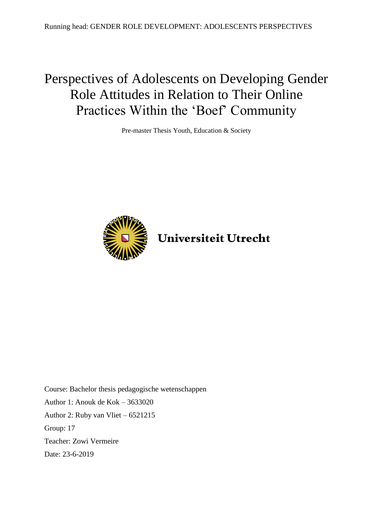# Perspectives of Adolescents on Developing Gender Role Attitudes in Relation to Their Online Practices Within the 'Boef' Community

Pre-master Thesis Youth, Education & Society



Universiteit Utrecht

Course: Bachelor thesis pedagogische wetenschappen Author 1: Anouk de Kok – 3633020 Author 2: Ruby van Vliet – 6521215 Group: 17 Teacher: Zowi Vermeire Date: 23-6-2019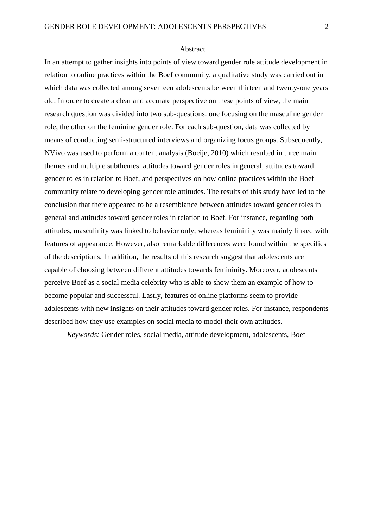#### Abstract

In an attempt to gather insights into points of view toward gender role attitude development in relation to online practices within the Boef community, a qualitative study was carried out in which data was collected among seventeen adolescents between thirteen and twenty-one years old. In order to create a clear and accurate perspective on these points of view, the main research question was divided into two sub-questions: one focusing on the masculine gender role, the other on the feminine gender role. For each sub-question, data was collected by means of conducting semi-structured interviews and organizing focus groups. Subsequently, NVivo was used to perform a content analysis (Boeije, 2010) which resulted in three main themes and multiple subthemes: attitudes toward gender roles in general, attitudes toward gender roles in relation to Boef, and perspectives on how online practices within the Boef community relate to developing gender role attitudes. The results of this study have led to the conclusion that there appeared to be a resemblance between attitudes toward gender roles in general and attitudes toward gender roles in relation to Boef. For instance, regarding both attitudes, masculinity was linked to behavior only; whereas femininity was mainly linked with features of appearance. However, also remarkable differences were found within the specifics of the descriptions. In addition, the results of this research suggest that adolescents are capable of choosing between different attitudes towards femininity. Moreover, adolescents perceive Boef as a social media celebrity who is able to show them an example of how to become popular and successful. Lastly, features of online platforms seem to provide adolescents with new insights on their attitudes toward gender roles. For instance, respondents described how they use examples on social media to model their own attitudes.

*Keywords:* Gender roles, social media, attitude development, adolescents, Boef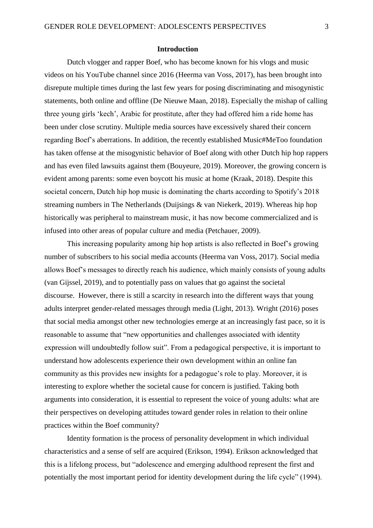#### **Introduction**

Dutch vlogger and rapper Boef, who has become known for his vlogs and music videos on his YouTube channel since 2016 (Heerma van Voss, 2017), has been brought into disrepute multiple times during the last few years for posing discriminating and misogynistic statements, both online and offline (De Nieuwe Maan, 2018). Especially the mishap of calling three young girls 'kech', Arabic for prostitute, after they had offered him a ride home has been under close scrutiny. Multiple media sources have excessively shared their concern regarding Boef's aberrations. In addition, the recently established Music#MeToo foundation has taken offense at the misogynistic behavior of Boef along with other Dutch hip hop rappers and has even filed lawsuits against them (Bouyeure, 2019). Moreover, the growing concern is evident among parents: some even boycott his music at home (Kraak, 2018). Despite this societal concern, Dutch hip hop music is dominating the charts according to Spotify's 2018 streaming numbers in The Netherlands (Duijsings & van Niekerk, 2019). Whereas hip hop historically was peripheral to mainstream music, it has now become commercialized and is infused into other areas of popular culture and media (Petchauer, 2009).

This increasing popularity among hip hop artists is also reflected in Boef's growing number of subscribers to his social media accounts (Heerma van Voss, 2017). Social media allows Boef's messages to directly reach his audience, which mainly consists of young adults (van Gijssel, 2019), and to potentially pass on values that go against the societal discourse. However, there is still a scarcity in research into the different ways that young adults interpret gender-related messages through media (Light, 2013). Wright (2016) poses that social media amongst other new technologies emerge at an increasingly fast pace, so it is reasonable to assume that "new opportunities and challenges associated with identity expression will undoubtedly follow suit". From a pedagogical perspective, it is important to understand how adolescents experience their own development within an online fan community as this provides new insights for a pedagogue's role to play. Moreover, it is interesting to explore whether the societal cause for concern is justified. Taking both arguments into consideration, it is essential to represent the voice of young adults: what are their perspectives on developing attitudes toward gender roles in relation to their online practices within the Boef community?

Identity formation is the process of personality development in which individual characteristics and a sense of self are acquired (Erikson, 1994). Erikson acknowledged that this is a lifelong process, but "adolescence and emerging adulthood represent the first and potentially the most important period for identity development during the life cycle" (1994).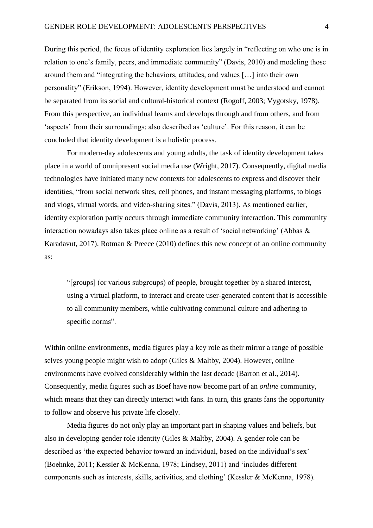During this period, the focus of identity exploration lies largely in "reflecting on who one is in relation to one's family, peers, and immediate community" (Davis, 2010) and modeling those around them and "integrating the behaviors, attitudes, and values […] into their own personality" (Erikson, 1994). However, identity development must be understood and cannot be separated from its social and cultural-historical context (Rogoff, 2003; Vygotsky, 1978). From this perspective, an individual learns and develops through and from others, and from 'aspects' from their surroundings; also described as 'culture'. For this reason, it can be concluded that identity development is a holistic process.

For modern-day adolescents and young adults, the task of identity development takes place in a world of omnipresent social media use (Wright, 2017). Consequently, digital media technologies have initiated many new contexts for adolescents to express and discover their identities, "from social network sites, cell phones, and instant messaging platforms, to blogs and vlogs, virtual words, and video-sharing sites." (Davis, 2013). As mentioned earlier, identity exploration partly occurs through immediate community interaction. This community interaction nowadays also takes place online as a result of 'social networking' (Abbas & Karadavut, 2017). Rotman & Preece (2010) defines this new concept of an online community as:

"[groups] (or various subgroups) of people, brought together by a shared interest, using a virtual platform, to interact and create user-generated content that is accessible to all community members, while cultivating communal culture and adhering to specific norms".

Within online environments, media figures play a key role as their mirror a range of possible selves young people might wish to adopt (Giles & Maltby, 2004). However, online environments have evolved considerably within the last decade (Barron et al., 2014). Consequently, media figures such as Boef have now become part of an *online* community, which means that they can directly interact with fans. In turn, this grants fans the opportunity to follow and observe his private life closely.

Media figures do not only play an important part in shaping values and beliefs, but also in developing gender role identity (Giles & Maltby, 2004). A gender role can be described as 'the expected behavior toward an individual, based on the individual's sex' (Boehnke, 2011; Kessler & McKenna, 1978; Lindsey, 2011) and 'includes different components such as interests, skills, activities, and clothing' (Kessler & McKenna, 1978).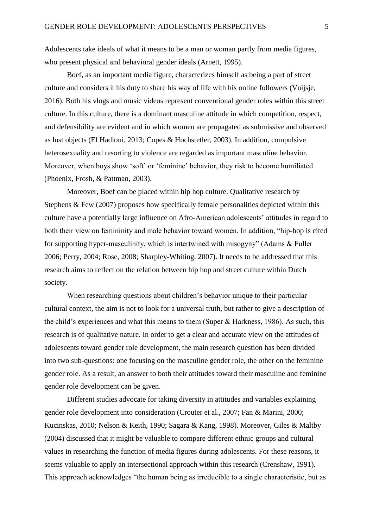Adolescents take ideals of what it means to be a man or woman partly from media figures, who present physical and behavioral gender ideals (Arnett, 1995).

Boef, as an important media figure, characterizes himself as being a part of street culture and considers it his duty to share his way of life with his online followers (Vuijsje, 2016). Both his vlogs and music videos represent conventional gender roles within this street culture. In this culture, there is a dominant masculine attitude in which competition, respect, and defensibility are evident and in which women are propagated as submissive and observed as lust objects (El Hadioui, 2013; Copes & Hochstetler, 2003). In addition, compulsive heterosexuality and resorting to violence are regarded as important masculine behavior. Moreover, when boys show 'soft' or 'feminine' behavior, they risk to become humiliated (Phoenix, Frosh, & Pattman, 2003).

Moreover, Boef can be placed within hip hop culture. Qualitative research by Stephens & Few (2007) proposes how specifically female personalities depicted within this culture have a potentially large influence on Afro-American adolescents' attitudes in regard to both their view on femininity and male behavior toward women. In addition, "hip-hop is cited for supporting hyper-masculinity, which is intertwined with misogyny" (Adams & Fuller 2006; Perry, 2004; Rose, 2008; Sharpley-Whiting, 2007). It needs to be addressed that this research aims to reflect on the relation between hip hop and street culture within Dutch society.

When researching questions about children's behavior unique to their particular cultural context, the aim is not to look for a universal truth, but rather to give a description of the child's experiences and what this means to them (Super & Harkness, 1986). As such, this research is of qualitative nature. In order to get a clear and accurate view on the attitudes of adolescents toward gender role development, the main research question has been divided into two sub-questions: one focusing on the masculine gender role, the other on the feminine gender role. As a result, an answer to both their attitudes toward their masculine and feminine gender role development can be given.

Different studies advocate for taking diversity in attitudes and variables explaining gender role development into consideration (Crouter et al., 2007; Fan & Marini, 2000; Kucinskas, 2010; Nelson & Keith, 1990; Sagara & Kang, 1998). Moreover, Giles & Maltby (2004) discussed that it might be valuable to compare different ethnic groups and cultural values in researching the function of media figures during adolescents. For these reasons, it seems valuable to apply an intersectional approach within this research (Crenshaw, 1991). This approach acknowledges "the human being as irreducible to a single characteristic, but as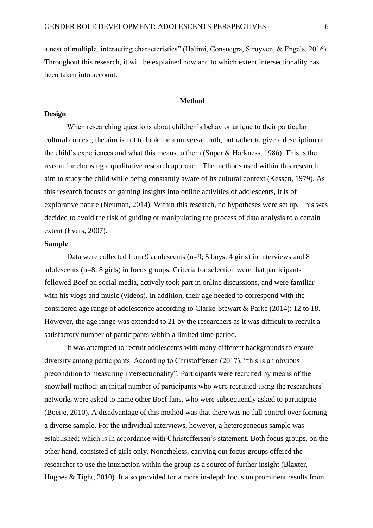a nest of multiple, interacting characteristics" (Halimi, Consuegra, Struyven, & Engels, 2016). Throughout this research, it will be explained how and to which extent intersectionality has been taken into account.

# **Method**

# **Design**

When researching questions about children's behavior unique to their particular cultural context, the aim is not to look for a universal truth, but rather to give a description of the child's experiences and what this means to them (Super & Harkness, 1986). This is the reason for choosing a qualitative research approach. The methods used within this research aim to study the child while being constantly aware of its cultural context (Kessen, 1979). As this research focuses on gaining insights into online activities of adolescents, it is of explorative nature (Neuman, 2014). Within this research, no hypotheses were set up. This was decided to avoid the risk of guiding or manipulating the process of data analysis to a certain extent (Evers, 2007).

# **Sample**

Data were collected from 9 adolescents (n=9; 5 boys, 4 girls) in interviews and 8 adolescents (n=8; 8 girls) in focus groups. Criteria for selection were that participants followed Boef on social media, actively took part in online discussions, and were familiar with his vlogs and music (videos). In addition, their age needed to correspond with the considered age range of adolescence according to Clarke-Stewart & Parke (2014): 12 to 18. However, the age range was extended to 21 by the researchers as it was difficult to recruit a satisfactory number of participants within a limited time period.

It was attempted to recruit adolescents with many different backgrounds to ensure diversity among participants. According to Christoffersen (2017), "this is an obvious precondition to measuring intersectionality". Participants were recruited by means of the snowball method: an initial number of participants who were recruited using the researchers' networks were asked to name other Boef fans, who were subsequently asked to participate (Boeije, 2010). A disadvantage of this method was that there was no full control over forming a diverse sample. For the individual interviews, however, a heterogeneous sample was established; which is in accordance with Christoffersen's statement. Both focus groups, on the other hand, consisted of girls only. Nonetheless, carrying out focus groups offered the researcher to use the interaction within the group as a source of further insight (Blaxter, Hughes & Tight, 2010). It also provided for a more in-depth focus on prominent results from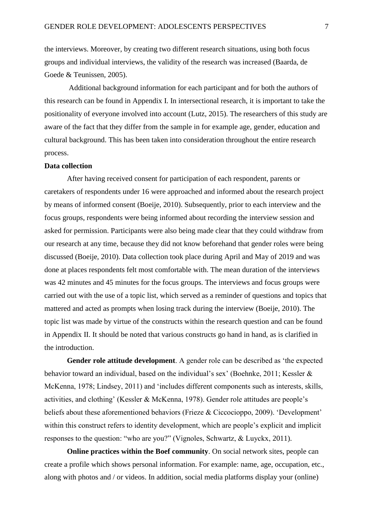the interviews. Moreover, by creating two different research situations, using both focus groups and individual interviews, the validity of the research was increased (Baarda, de Goede & Teunissen, 2005).

Additional background information for each participant and for both the authors of this research can be found in Appendix I. In intersectional research, it is important to take the positionality of everyone involved into account (Lutz, 2015). The researchers of this study are aware of the fact that they differ from the sample in for example age, gender, education and cultural background. This has been taken into consideration throughout the entire research process.

#### **Data collection**

After having received consent for participation of each respondent, parents or caretakers of respondents under 16 were approached and informed about the research project by means of informed consent (Boeije, 2010). Subsequently, prior to each interview and the focus groups, respondents were being informed about recording the interview session and asked for permission. Participants were also being made clear that they could withdraw from our research at any time, because they did not know beforehand that gender roles were being discussed (Boeije, 2010). Data collection took place during April and May of 2019 and was done at places respondents felt most comfortable with. The mean duration of the interviews was 42 minutes and 45 minutes for the focus groups. The interviews and focus groups were carried out with the use of a topic list, which served as a reminder of questions and topics that mattered and acted as prompts when losing track during the interview (Boeije, 2010). The topic list was made by virtue of the constructs within the research question and can be found in Appendix II. It should be noted that various constructs go hand in hand, as is clarified in the introduction.

**Gender role attitude development**. A gender role can be described as 'the expected behavior toward an individual, based on the individual's sex' (Boehnke, 2011; Kessler & McKenna, 1978; Lindsey, 2011) and 'includes different components such as interests, skills, activities, and clothing' (Kessler & McKenna, 1978). Gender role attitudes are people's beliefs about these aforementioned behaviors (Frieze & Ciccocioppo, 2009). 'Development' within this construct refers to identity development, which are people's explicit and implicit responses to the question: "who are you?" (Vignoles, Schwartz, & Luyckx, 2011).

**Online practices within the Boef community**. On social network sites, people can create a profile which shows personal information. For example: name, age, occupation, etc., along with photos and / or videos. In addition, social media platforms display your (online)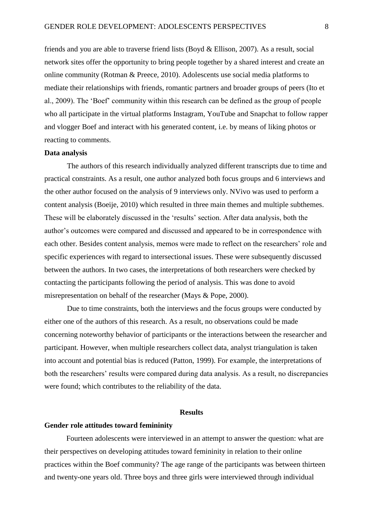friends and you are able to traverse friend lists (Boyd & Ellison, 2007). As a result, social network sites offer the opportunity to bring people together by a shared interest and create an online community (Rotman & Preece, 2010). Adolescents use social media platforms to mediate their relationships with friends, romantic partners and broader groups of peers (Ito et al., 2009). The 'Boef' community within this research can be defined as the group of people who all participate in the virtual platforms Instagram, YouTube and Snapchat to follow rapper and vlogger Boef and interact with his generated content, i.e. by means of liking photos or reacting to comments.

# **Data analysis**

The authors of this research individually analyzed different transcripts due to time and practical constraints. As a result, one author analyzed both focus groups and 6 interviews and the other author focused on the analysis of 9 interviews only. NVivo was used to perform a content analysis (Boeije, 2010) which resulted in three main themes and multiple subthemes. These will be elaborately discussed in the 'results' section. After data analysis, both the author's outcomes were compared and discussed and appeared to be in correspondence with each other. Besides content analysis, memos were made to reflect on the researchers' role and specific experiences with regard to intersectional issues. These were subsequently discussed between the authors. In two cases, the interpretations of both researchers were checked by contacting the participants following the period of analysis. This was done to avoid misrepresentation on behalf of the researcher (Mays & Pope, 2000).

Due to time constraints, both the interviews and the focus groups were conducted by either one of the authors of this research. As a result, no observations could be made concerning noteworthy behavior of participants or the interactions between the researcher and participant. However, when multiple researchers collect data, analyst triangulation is taken into account and potential bias is reduced (Patton, 1999). For example, the interpretations of both the researchers' results were compared during data analysis. As a result, no discrepancies were found; which contributes to the reliability of the data.

#### **Results**

#### **Gender role attitudes toward femininity**

Fourteen adolescents were interviewed in an attempt to answer the question: what are their perspectives on developing attitudes toward femininity in relation to their online practices within the Boef community? The age range of the participants was between thirteen and twenty-one years old. Three boys and three girls were interviewed through individual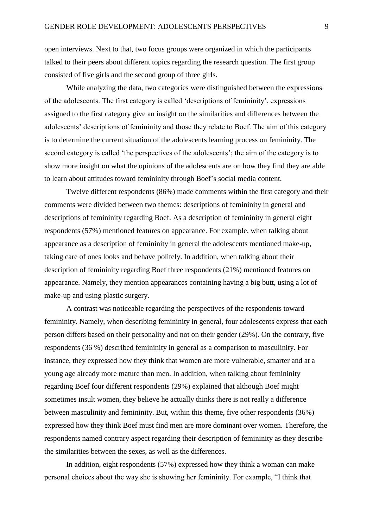open interviews. Next to that, two focus groups were organized in which the participants talked to their peers about different topics regarding the research question. The first group consisted of five girls and the second group of three girls.

While analyzing the data, two categories were distinguished between the expressions of the adolescents. The first category is called 'descriptions of femininity', expressions assigned to the first category give an insight on the similarities and differences between the adolescents' descriptions of femininity and those they relate to Boef. The aim of this category is to determine the current situation of the adolescents learning process on femininity. The second category is called 'the perspectives of the adolescents'; the aim of the category is to show more insight on what the opinions of the adolescents are on how they find they are able to learn about attitudes toward femininity through Boef's social media content.

Twelve different respondents (86%) made comments within the first category and their comments were divided between two themes: descriptions of femininity in general and descriptions of femininity regarding Boef. As a description of femininity in general eight respondents (57%) mentioned features on appearance. For example, when talking about appearance as a description of femininity in general the adolescents mentioned make-up, taking care of ones looks and behave politely. In addition, when talking about their description of femininity regarding Boef three respondents (21%) mentioned features on appearance. Namely, they mention appearances containing having a big butt, using a lot of make-up and using plastic surgery.

A contrast was noticeable regarding the perspectives of the respondents toward femininity. Namely, when describing femininity in general, four adolescents express that each person differs based on their personality and not on their gender (29%). On the contrary, five respondents (36 %) described femininity in general as a comparison to masculinity. For instance, they expressed how they think that women are more vulnerable, smarter and at a young age already more mature than men. In addition, when talking about femininity regarding Boef four different respondents (29%) explained that although Boef might sometimes insult women, they believe he actually thinks there is not really a difference between masculinity and femininity. But, within this theme, five other respondents (36%) expressed how they think Boef must find men are more dominant over women. Therefore, the respondents named contrary aspect regarding their description of femininity as they describe the similarities between the sexes, as well as the differences.

In addition, eight respondents (57%) expressed how they think a woman can make personal choices about the way she is showing her femininity. For example, "I think that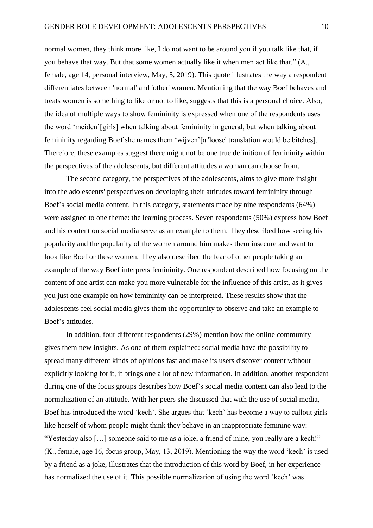normal women, they think more like, I do not want to be around you if you talk like that, if you behave that way. But that some women actually like it when men act like that." (A., female, age 14, personal interview, May, 5, 2019). This quote illustrates the way a respondent differentiates between 'normal' and 'other' women. Mentioning that the way Boef behaves and treats women is something to like or not to like, suggests that this is a personal choice. Also, the idea of multiple ways to show femininity is expressed when one of the respondents uses the word 'meiden'[girls] when talking about femininity in general, but when talking about femininity regarding Boef she names them 'wijven'[a 'loose' translation would be bitches]. Therefore, these examples suggest there might not be one true definition of femininity within the perspectives of the adolescents, but different attitudes a woman can choose from.

The second category, the perspectives of the adolescents*,* aims to give more insight into the adolescents' perspectives on developing their attitudes toward femininity through Boef's social media content. In this category, statements made by nine respondents (64%) were assigned to one theme: the learning process. Seven respondents (50%) express how Boef and his content on social media serve as an example to them. They described how seeing his popularity and the popularity of the women around him makes them insecure and want to look like Boef or these women. They also described the fear of other people taking an example of the way Boef interprets femininity. One respondent described how focusing on the content of one artist can make you more vulnerable for the influence of this artist, as it gives you just one example on how femininity can be interpreted. These results show that the adolescents feel social media gives them the opportunity to observe and take an example to Boef's attitudes.

In addition, four different respondents (29%) mention how the online community gives them new insights. As one of them explained: social media have the possibility to spread many different kinds of opinions fast and make its users discover content without explicitly looking for it, it brings one a lot of new information. In addition, another respondent during one of the focus groups describes how Boef's social media content can also lead to the normalization of an attitude. With her peers she discussed that with the use of social media, Boef has introduced the word 'kech'. She argues that 'kech' has become a way to callout girls like herself of whom people might think they behave in an inappropriate feminine way: "Yesterday also […] someone said to me as a joke, a friend of mine, you really are a kech!" (K., female, age 16, focus group, May, 13, 2019). Mentioning the way the word 'kech' is used by a friend as a joke, illustrates that the introduction of this word by Boef, in her experience has normalized the use of it. This possible normalization of using the word 'kech' was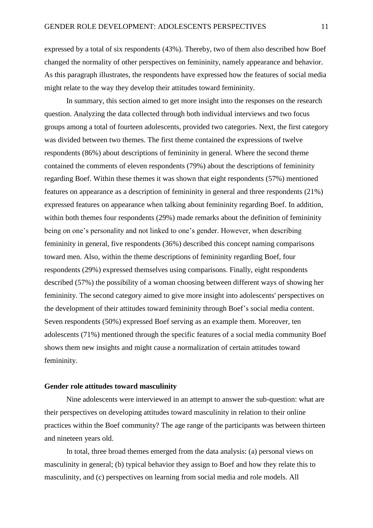expressed by a total of six respondents (43%). Thereby, two of them also described how Boef changed the normality of other perspectives on femininity, namely appearance and behavior. As this paragraph illustrates, the respondents have expressed how the features of social media might relate to the way they develop their attitudes toward femininity.

In summary, this section aimed to get more insight into the responses on the research question. Analyzing the data collected through both individual interviews and two focus groups among a total of fourteen adolescents, provided two categories. Next, the first category was divided between two themes. The first theme contained the expressions of twelve respondents (86%) about descriptions of femininity in general*.* Where the second theme contained the comments of eleven respondents (79%) about the descriptions of femininity regarding Boef. Within these themes it was shown that eight respondents (57%) mentioned features on appearance as a description of femininity in general and three respondents (21%) expressed features on appearance when talking about femininity regarding Boef. In addition, within both themes four respondents (29%) made remarks about the definition of femininity being on one's personality and not linked to one's gender. However, when describing femininity in general, five respondents (36%) described this concept naming comparisons toward men. Also, within the theme descriptions of femininity regarding Boef, four respondents (29%) expressed themselves using comparisons. Finally, eight respondents described (57%) the possibility of a woman choosing between different ways of showing her femininity. The second category aimed to give more insight into adolescents' perspectives on the development of their attitudes toward femininity through Boef's social media content. Seven respondents (50%) expressed Boef serving as an example them. Moreover, ten adolescents (71%) mentioned through the specific features of a social media community Boef shows them new insights and might cause a normalization of certain attitudes toward femininity.

# **Gender role attitudes toward masculinity**

Nine adolescents were interviewed in an attempt to answer the sub-question: what are their perspectives on developing attitudes toward masculinity in relation to their online practices within the Boef community? The age range of the participants was between thirteen and nineteen years old.

In total, three broad themes emerged from the data analysis: (a) personal views on masculinity in general; (b) typical behavior they assign to Boef and how they relate this to masculinity, and (c) perspectives on learning from social media and role models. All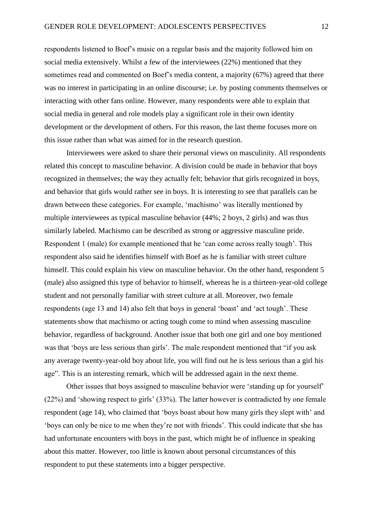respondents listened to Boef's music on a regular basis and the majority followed him on social media extensively. Whilst a few of the interviewees (22%) mentioned that they sometimes read and commented on Boef's media content, a majority (67%) agreed that there was no interest in participating in an online discourse; i.e. by posting comments themselves or interacting with other fans online. However, many respondents were able to explain that social media in general and role models play a significant role in their own identity development or the development of others. For this reason, the last theme focuses more on this issue rather than what was aimed for in the research question.

Interviewees were asked to share their personal views on masculinity. All respondents related this concept to masculine behavior. A division could be made in behavior that boys recognized in themselves; the way they actually felt; behavior that girls recognized in boys, and behavior that girls would rather see in boys. It is interesting to see that parallels can be drawn between these categories. For example, 'machismo' was literally mentioned by multiple interviewees as typical masculine behavior (44%; 2 boys, 2 girls) and was thus similarly labeled. Machismo can be described as strong or aggressive masculine pride. Respondent 1 (male) for example mentioned that he 'can come across really tough'. This respondent also said he identifies himself with Boef as he is familiar with street culture himself. This could explain his view on masculine behavior. On the other hand, respondent 5 (male) also assigned this type of behavior to himself, whereas he is a thirteen-year-old college student and not personally familiar with street culture at all. Moreover, two female respondents (age 13 and 14) also felt that boys in general 'boast' and 'act tough'. These statements show that machismo or acting tough come to mind when assessing masculine behavior, regardless of background. Another issue that both one girl and one boy mentioned was that 'boys are less serious than girls'. The male respondent mentioned that "if you ask any average twenty-year-old boy about life, you will find out he is less serious than a girl his age". This is an interesting remark, which will be addressed again in the next theme.

Other issues that boys assigned to masculine behavior were 'standing up for yourself' (22%) and 'showing respect to girls' (33%). The latter however is contradicted by one female respondent (age 14), who claimed that 'boys boast about how many girls they slept with' and 'boys can only be nice to me when they're not with friends'. This could indicate that she has had unfortunate encounters with boys in the past, which might be of influence in speaking about this matter. However, too little is known about personal circumstances of this respondent to put these statements into a bigger perspective.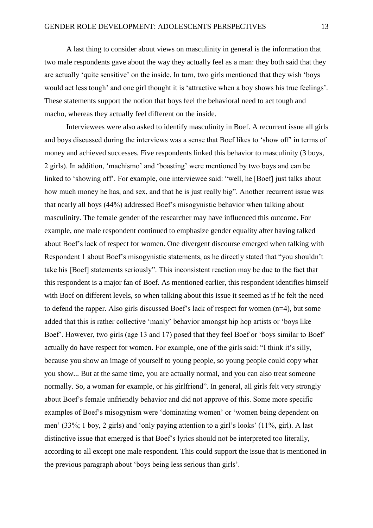A last thing to consider about views on masculinity in general is the information that two male respondents gave about the way they actually feel as a man: they both said that they are actually 'quite sensitive' on the inside. In turn, two girls mentioned that they wish 'boys would act less tough' and one girl thought it is 'attractive when a boy shows his true feelings'. These statements support the notion that boys feel the behavioral need to act tough and macho, whereas they actually feel different on the inside.

Interviewees were also asked to identify masculinity in Boef. A recurrent issue all girls and boys discussed during the interviews was a sense that Boef likes to 'show off' in terms of money and achieved successes. Five respondents linked this behavior to masculinity (3 boys, 2 girls). In addition, 'machismo' and 'boasting' were mentioned by two boys and can be linked to 'showing off'. For example, one interviewee said: "well, he [Boef] just talks about how much money he has, and sex, and that he is just really big". Another recurrent issue was that nearly all boys (44%) addressed Boef's misogynistic behavior when talking about masculinity. The female gender of the researcher may have influenced this outcome. For example, one male respondent continued to emphasize gender equality after having talked about Boef's lack of respect for women. One divergent discourse emerged when talking with Respondent 1 about Boef's misogynistic statements, as he directly stated that "you shouldn't take his [Boef] statements seriously". This inconsistent reaction may be due to the fact that this respondent is a major fan of Boef. As mentioned earlier, this respondent identifies himself with Boef on different levels, so when talking about this issue it seemed as if he felt the need to defend the rapper. Also girls discussed Boef's lack of respect for women (n=4), but some added that this is rather collective 'manly' behavior amongst hip hop artists or 'boys like Boef'. However, two girls (age 13 and 17) posed that they feel Boef or 'boys similar to Boef' actually do have respect for women. For example, one of the girls said: "I think it's silly, because you show an image of yourself to young people, so young people could copy what you show... But at the same time, you are actually normal, and you can also treat someone normally. So, a woman for example, or his girlfriend". In general, all girls felt very strongly about Boef's female unfriendly behavior and did not approve of this. Some more specific examples of Boef's misogynism were 'dominating women' or 'women being dependent on men' (33%; 1 boy, 2 girls) and 'only paying attention to a girl's looks' (11%, girl). A last distinctive issue that emerged is that Boef's lyrics should not be interpreted too literally, according to all except one male respondent. This could support the issue that is mentioned in the previous paragraph about 'boys being less serious than girls'.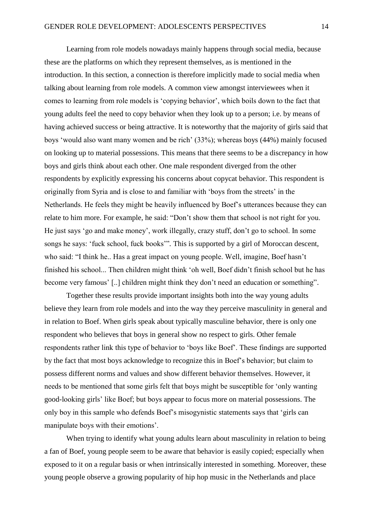Learning from role models nowadays mainly happens through social media, because these are the platforms on which they represent themselves, as is mentioned in the introduction. In this section, a connection is therefore implicitly made to social media when talking about learning from role models. A common view amongst interviewees when it comes to learning from role models is 'copying behavior', which boils down to the fact that young adults feel the need to copy behavior when they look up to a person; i.e. by means of having achieved success or being attractive. It is noteworthy that the majority of girls said that boys 'would also want many women and be rich' (33%); whereas boys (44%) mainly focused on looking up to material possessions. This means that there seems to be a discrepancy in how boys and girls think about each other. One male respondent diverged from the other respondents by explicitly expressing his concerns about copycat behavior. This respondent is originally from Syria and is close to and familiar with 'boys from the streets' in the Netherlands. He feels they might be heavily influenced by Boef's utterances because they can relate to him more. For example, he said: "Don't show them that school is not right for you. He just says 'go and make money', work illegally, crazy stuff, don't go to school. In some songs he says: 'fuck school, fuck books'"*.* This is supported by a girl of Moroccan descent, who said: "I think he.. Has a great impact on young people. Well, imagine, Boef hasn't finished his school... Then children might think 'oh well, Boef didn't finish school but he has become very famous' [..] children might think they don't need an education or something".

Together these results provide important insights both into the way young adults believe they learn from role models and into the way they perceive masculinity in general and in relation to Boef. When girls speak about typically masculine behavior, there is only one respondent who believes that boys in general show no respect to girls. Other female respondents rather link this type of behavior to 'boys like Boef'. These findings are supported by the fact that most boys acknowledge to recognize this in Boef's behavior; but claim to possess different norms and values and show different behavior themselves. However, it needs to be mentioned that some girls felt that boys might be susceptible for 'only wanting good-looking girls' like Boef; but boys appear to focus more on material possessions. The only boy in this sample who defends Boef's misogynistic statements says that 'girls can manipulate boys with their emotions'.

When trying to identify what young adults learn about masculinity in relation to being a fan of Boef, young people seem to be aware that behavior is easily copied; especially when exposed to it on a regular basis or when intrinsically interested in something. Moreover, these young people observe a growing popularity of hip hop music in the Netherlands and place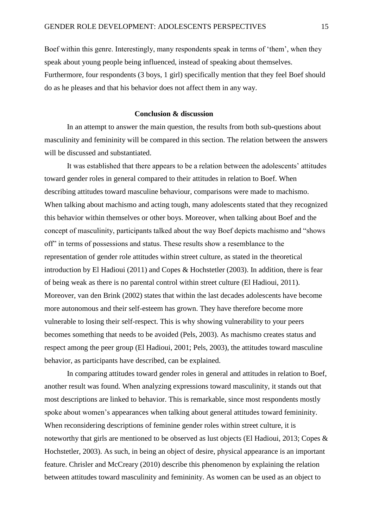Boef within this genre. Interestingly, many respondents speak in terms of 'them', when they speak about young people being influenced, instead of speaking about themselves. Furthermore, four respondents (3 boys, 1 girl) specifically mention that they feel Boef should do as he pleases and that his behavior does not affect them in any way.

# **Conclusion & discussion**

In an attempt to answer the main question, the results from both sub-questions about masculinity and femininity will be compared in this section. The relation between the answers will be discussed and substantiated.

It was established that there appears to be a relation between the adolescents' attitudes toward gender roles in general compared to their attitudes in relation to Boef. When describing attitudes toward masculine behaviour, comparisons were made to machismo. When talking about machismo and acting tough, many adolescents stated that they recognized this behavior within themselves or other boys. Moreover, when talking about Boef and the concept of masculinity, participants talked about the way Boef depicts machismo and "shows off" in terms of possessions and status. These results show a resemblance to the representation of gender role attitudes within street culture, as stated in the theoretical introduction by El Hadioui (2011) and Copes & Hochstetler (2003). In addition, there is fear of being weak as there is no parental control within street culture (El Hadioui, 2011). Moreover, van den Brink (2002) states that within the last decades adolescents have become more autonomous and their self-esteem has grown. They have therefore become more vulnerable to losing their self-respect. This is why showing vulnerability to your peers becomes something that needs to be avoided (Pels, 2003). As machismo creates status and respect among the peer group (El Hadioui, 2001; Pels, 2003), the attitudes toward masculine behavior, as participants have described, can be explained.

In comparing attitudes toward gender roles in general and attitudes in relation to Boef, another result was found. When analyzing expressions toward masculinity, it stands out that most descriptions are linked to behavior. This is remarkable, since most respondents mostly spoke about women's appearances when talking about general attitudes toward femininity. When reconsidering descriptions of feminine gender roles within street culture, it is noteworthy that girls are mentioned to be observed as lust objects (El Hadioui, 2013; Copes  $\&$ Hochstetler, 2003). As such, in being an object of desire, physical appearance is an important feature. Chrisler and McCreary (2010) describe this phenomenon by explaining the relation between attitudes toward masculinity and femininity. As women can be used as an object to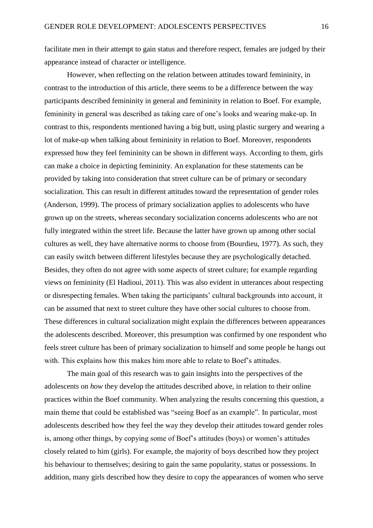facilitate men in their attempt to gain status and therefore respect, females are judged by their appearance instead of character or intelligence.

However, when reflecting on the relation between attitudes toward femininity, in contrast to the introduction of this article, there seems to be a difference between the way participants described femininity in general and femininity in relation to Boef. For example, femininity in general was described as taking care of one's looks and wearing make-up. In contrast to this, respondents mentioned having a big butt, using plastic surgery and wearing a lot of make-up when talking about femininity in relation to Boef. Moreover, respondents expressed how they feel femininity can be shown in different ways. According to them, girls can make a choice in depicting femininity. An explanation for these statements can be provided by taking into consideration that street culture can be of primary or secondary socialization. This can result in different attitudes toward the representation of gender roles (Anderson, 1999). The process of primary socialization applies to adolescents who have grown up on the streets, whereas secondary socialization concerns adolescents who are not fully integrated within the street life. Because the latter have grown up among other social cultures as well, they have alternative norms to choose from (Bourdieu, 1977). As such, they can easily switch between different lifestyles because they are psychologically detached. Besides, they often do not agree with some aspects of street culture; for example regarding views on femininity (El Hadioui, 2011). This was also evident in utterances about respecting or disrespecting females. When taking the participants' cultural backgrounds into account, it can be assumed that next to street culture they have other social cultures to choose from. These differences in cultural socialization might explain the differences between appearances the adolescents described. Moreover, this presumption was confirmed by one respondent who feels street culture has been of primary socialization to himself and some people he hangs out with. This explains how this makes him more able to relate to Boef's attitudes.

The main goal of this research was to gain insights into the perspectives of the adolescents on *how* they develop the attitudes described above, in relation to their online practices within the Boef community. When analyzing the results concerning this question, a main theme that could be established was "seeing Boef as an example". In particular, most adolescents described how they feel the way they develop their attitudes toward gender roles is, among other things, by copying some of Boef's attitudes (boys) or women's attitudes closely related to him (girls). For example, the majority of boys described how they project his behaviour to themselves; desiring to gain the same popularity, status or possessions. In addition, many girls described how they desire to copy the appearances of women who serve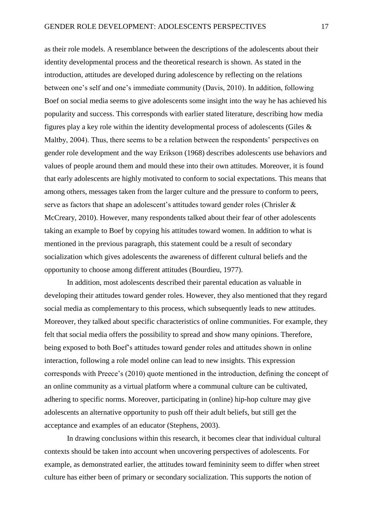as their role models. A resemblance between the descriptions of the adolescents about their identity developmental process and the theoretical research is shown. As stated in the introduction, attitudes are developed during adolescence by reflecting on the relations between one's self and one's immediate community (Davis, 2010). In addition, following Boef on social media seems to give adolescents some insight into the way he has achieved his popularity and success. This corresponds with earlier stated literature, describing how media figures play a key role within the identity developmental process of adolescents (Giles & Maltby, 2004). Thus, there seems to be a relation between the respondents' perspectives on gender role development and the way Erikson (1968) describes adolescents use behaviors and values of people around them and mould these into their own attitudes. Moreover, it is found that early adolescents are highly motivated to conform to social expectations. This means that among others, messages taken from the larger culture and the pressure to conform to peers, serve as factors that shape an adolescent's attitudes toward gender roles (Chrisler & McCreary, 2010). However, many respondents talked about their fear of other adolescents taking an example to Boef by copying his attitudes toward women. In addition to what is mentioned in the previous paragraph, this statement could be a result of secondary socialization which gives adolescents the awareness of different cultural beliefs and the opportunity to choose among different attitudes (Bourdieu, 1977).

In addition, most adolescents described their parental education as valuable in developing their attitudes toward gender roles. However, they also mentioned that they regard social media as complementary to this process, which subsequently leads to new attitudes. Moreover, they talked about specific characteristics of online communities. For example, they felt that social media offers the possibility to spread and show many opinions. Therefore, being exposed to both Boef's attitudes toward gender roles and attitudes shown in online interaction, following a role model online can lead to new insights. This expression corresponds with Preece's (2010) quote mentioned in the introduction, defining the concept of an online community as a virtual platform where a communal culture can be cultivated, adhering to specific norms. Moreover, participating in (online) hip-hop culture may give adolescents an alternative opportunity to push off their adult beliefs, but still get the acceptance and examples of an educator (Stephens, 2003).

In drawing conclusions within this research, it becomes clear that individual cultural contexts should be taken into account when uncovering perspectives of adolescents. For example, as demonstrated earlier, the attitudes toward femininity seem to differ when street culture has either been of primary or secondary socialization. This supports the notion of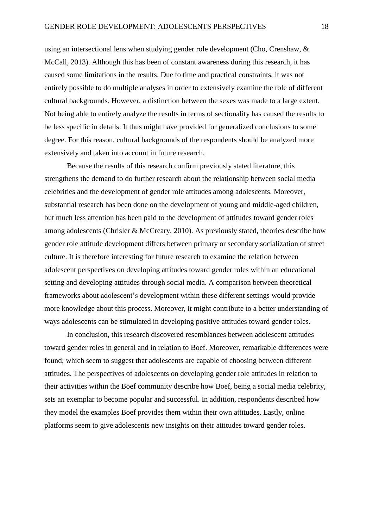using an intersectional lens when studying gender role development (Cho, Crenshaw, & McCall, 2013). Although this has been of constant awareness during this research, it has caused some limitations in the results. Due to time and practical constraints, it was not entirely possible to do multiple analyses in order to extensively examine the role of different cultural backgrounds. However, a distinction between the sexes was made to a large extent. Not being able to entirely analyze the results in terms of sectionality has caused the results to be less specific in details. It thus might have provided for generalized conclusions to some degree. For this reason, cultural backgrounds of the respondents should be analyzed more extensively and taken into account in future research.

Because the results of this research confirm previously stated literature, this strengthens the demand to do further research about the relationship between social media celebrities and the development of gender role attitudes among adolescents. Moreover, substantial research has been done on the development of young and middle-aged children, but much less attention has been paid to the development of attitudes toward gender roles among adolescents (Chrisler & McCreary, 2010). As previously stated, theories describe how gender role attitude development differs between primary or secondary socialization of street culture. It is therefore interesting for future research to examine the relation between adolescent perspectives on developing attitudes toward gender roles within an educational setting and developing attitudes through social media. A comparison between theoretical frameworks about adolescent's development within these different settings would provide more knowledge about this process. Moreover, it might contribute to a better understanding of ways adolescents can be stimulated in developing positive attitudes toward gender roles.

In conclusion, this research discovered resemblances between adolescent attitudes toward gender roles in general and in relation to Boef. Moreover, remarkable differences were found; which seem to suggest that adolescents are capable of choosing between different attitudes. The perspectives of adolescents on developing gender role attitudes in relation to their activities within the Boef community describe how Boef, being a social media celebrity, sets an exemplar to become popular and successful. In addition, respondents described how they model the examples Boef provides them within their own attitudes. Lastly, online platforms seem to give adolescents new insights on their attitudes toward gender roles.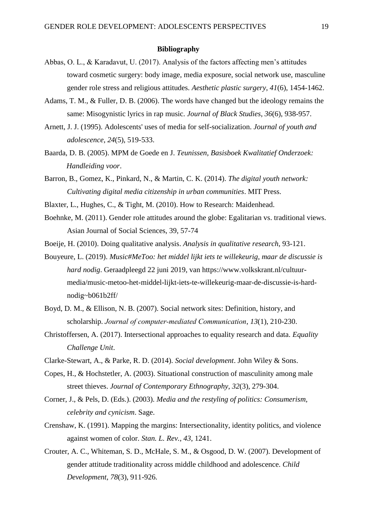#### **Bibliography**

- Abbas, O. L., & Karadavut, U. (2017). Analysis of the factors affecting men's attitudes toward cosmetic surgery: body image, media exposure, social network use, masculine gender role stress and religious attitudes. *Aesthetic plastic surgery*, *41*(6), 1454-1462.
- Adams, T. M., & Fuller, D. B. (2006). The words have changed but the ideology remains the same: Misogynistic lyrics in rap music. *Journal of Black Studies*, *36*(6), 938-957.
- Arnett, J. J. (1995). Adolescents' uses of media for self-socialization. *Journal of youth and adolescence*, *24*(5), 519-533.
- Baarda, D. B. (2005). MPM de Goede en J. *Teunissen, Basisboek Kwalitatief Onderzoek: Handleiding voor*.
- Barron, B., Gomez, K., Pinkard, N., & Martin, C. K. (2014). *The digital youth network: Cultivating digital media citizenship in urban communities*. MIT Press.
- Blaxter, L., Hughes, C., & Tight, M. (2010). How to Research: Maidenhead.
- Boehnke, M. (2011). Gender role attitudes around the globe: Egalitarian vs. traditional views. Asian Journal of Social Sciences, 39, 57-74
- Boeije, H. (2010). Doing qualitative analysis. *Analysis in qualitative research*, 93-121.
- Bouyeure, L. (2019). *Music#MeToo: het middel lijkt iets te willekeurig, maar de discussie is hard nodig*. Geraadpleegd 22 juni 2019, van https://www.volkskrant.nl/cultuurmedia/music-metoo-het-middel-lijkt-iets-te-willekeurig-maar-de-discussie-is-hardnodig~b061b2ff/
- Boyd, D. M., & Ellison, N. B. (2007). Social network sites: Definition, history, and scholarship. *Journal of computer‐mediated Communication*, *13*(1), 210-230.
- Christoffersen, A. (2017). Intersectional approaches to equality research and data. *Equality Challenge Unit*.
- Clarke-Stewart, A., & Parke, R. D. (2014). *Social development*. John Wiley & Sons.
- Copes, H., & Hochstetler, A. (2003). Situational construction of masculinity among male street thieves. *Journal of Contemporary Ethnography*, *32*(3), 279-304.
- Corner, J., & Pels, D. (Eds.). (2003). *Media and the restyling of politics: Consumerism, celebrity and cynicism*. Sage.
- Crenshaw, K. (1991). Mapping the margins: Intersectionality, identity politics, and violence against women of color. *Stan. L. Rev.*, *43*, 1241.
- Crouter, A. C., Whiteman, S. D., McHale, S. M., & Osgood, D. W. (2007). Development of gender attitude traditionality across middle childhood and adolescence. *Child Development*, *78*(3), 911-926.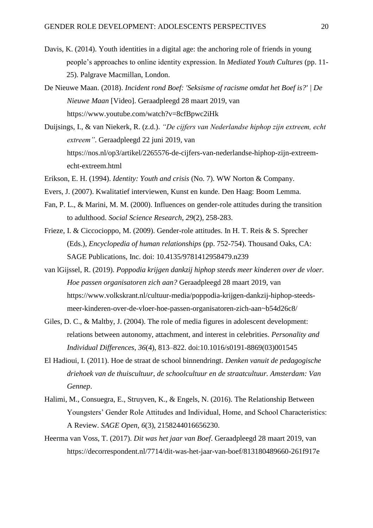- Davis, K. (2014). Youth identities in a digital age: the anchoring role of friends in young people's approaches to online identity expression. In *Mediated Youth Cultures* (pp. 11- 25). Palgrave Macmillan, London.
- De Nieuwe Maan. (2018). *Incident rond Boef: 'Seksisme of racisme omdat het Boef is?' | De Nieuwe Maan* [Video]. Geraadpleegd 28 maart 2019, van https://www.youtube.com/watch?v=8cfBpwc2iHk
- Duijsings, I., & van Niekerk, R. (z.d.). *"De cijfers van Nederlandse hiphop zijn extreem, echt extreem"*. Geraadpleegd 22 juni 2019, van https://nos.nl/op3/artikel/2265576-de-cijfers-van-nederlandse-hiphop-zijn-extreemecht-extreem.html
- Erikson, E. H. (1994). *Identity: Youth and crisis* (No. 7). WW Norton & Company.
- Evers, J. (2007). Kwalitatief interviewen, Kunst en kunde. Den Haag: Boom Lemma.
- Fan, P. L., & Marini, M. M. (2000). Influences on gender-role attitudes during the transition to adulthood. *Social Science Research*, *29*(2), 258-283.
- Frieze, I. & Ciccocioppo, M. (2009). Gender-role attitudes. In H. T. Reis & S. Sprecher (Eds.), *Encyclopedia of human relationships* (pp. 752-754). Thousand Oaks, CA: SAGE Publications, Inc. doi: 10.4135/9781412958479.n239
- van lGijssel, R. (2019). *Poppodia krijgen dankzij hiphop steeds meer kinderen over de vloer. Hoe passen organisatoren zich aan?* Geraadpleegd 28 maart 2019, van [https://www.volkskrant.nl/cultuur-media/poppodia-krijgen-dankzij-hiphop-steeds](https://www.volkskrant.nl/cultuur-media/poppodia-krijgen-dankzij-hiphop-steeds-%09meer-kinderen-over-de-vloer-hoe-passen-organisatoren-zich-aan~b54d26c8/)[meer-kinderen-over-de-vloer-hoe-passen-organisatoren-zich-aan~b54d26c8/](https://www.volkskrant.nl/cultuur-media/poppodia-krijgen-dankzij-hiphop-steeds-%09meer-kinderen-over-de-vloer-hoe-passen-organisatoren-zich-aan~b54d26c8/)
- Giles, D. C., & Maltby, J. (2004). The role of media figures in adolescent development: relations between autonomy, attachment, and interest in celebrities. *Personality and Individual Differences*, *36*(4), 813–822. doi:10.1016/s0191-8869(03)001545
- El Hadioui, I. (2011). Hoe de straat de school binnendringt. *Denken vanuit de pedagogische driehoek van de thuiscultuur, de schoolcultuur en de straatcultuur. Amsterdam: Van Gennep*.
- Halimi, M., Consuegra, E., Struyven, K., & Engels, N. (2016). The Relationship Between Youngsters' Gender Role Attitudes and Individual, Home, and School Characteristics: A Review. *SAGE Open*, *6*(3), 2158244016656230.
- Heerma van Voss, T. (2017). *Dit was het jaar van Boef*. Geraadpleegd 28 maart 2019, van https://decorrespondent.nl/7714/dit-was-het-jaar-van-boef/813180489660-261f917e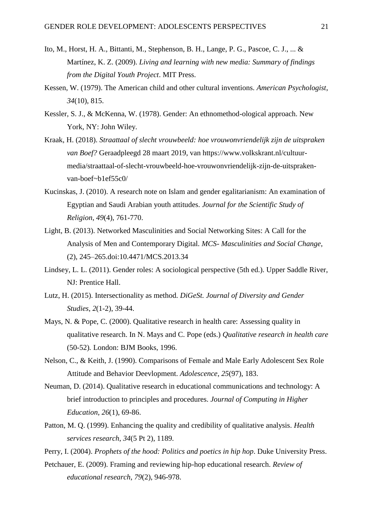- Ito, M., Horst, H. A., Bittanti, M., Stephenson, B. H., Lange, P. G., Pascoe, C. J., ... & Martínez, K. Z. (2009). *Living and learning with new media: Summary of findings from the Digital Youth Project*. MIT Press.
- Kessen, W. (1979). The American child and other cultural inventions. *American Psychologist*, *34*(10), 815.
- Kessler, S. J., & McKenna, W. (1978). Gender: An ethnomethod-ological approach. New York, NY: John Wiley.
- Kraak, H. (2018). *Straattaal of slecht vrouwbeeld: hoe vrouwonvriendelijk zijn de uitspraken van Boef?* Geraadpleegd 28 maart 2019, van https://www.volkskrant.nl/cultuurmedia/straattaal-of-slecht-vrouwbeeld-hoe-vrouwonvriendelijk-zijn-de-uitsprakenvan-boef~b1ef55c0/
- Kucinskas, J. (2010). A research note on Islam and gender egalitarianism: An examination of Egyptian and Saudi Arabian youth attitudes. *Journal for the Scientific Study of Religion*, *49*(4), 761-770.
- Light, B. (2013). Networked Masculinities and Social Networking Sites: A Call for the Analysis of Men and Contemporary Digital. *MCS- Masculinities and Social Change*, (2), 245–265.doi:10.4471/MCS.2013.34
- Lindsey, L. L. (2011). Gender roles: A sociological perspective (5th ed.). Upper Saddle River, NJ: Prentice Hall.
- Lutz, H. (2015). Intersectionality as method. *DiGeSt. Journal of Diversity and Gender Studies*, *2*(1-2), 39-44.
- Mays, N. & Pope, C. (2000). Qualitative research in health care: Assessing quality in qualitative research. In N. Mays and C. Pope (eds.) *Qualitative research in health care*  (50-52)*.* London: BJM Books, 1996.
- Nelson, C., & Keith, J. (1990). Comparisons of Female and Male Early Adolescent Sex Role Attitude and Behavior Deevlopment. *Adolescence*, *25*(97), 183.
- Neuman, D. (2014). Qualitative research in educational communications and technology: A brief introduction to principles and procedures. *Journal of Computing in Higher Education*, *26*(1), 69-86.
- Patton, M. Q. (1999). Enhancing the quality and credibility of qualitative analysis. *Health services research*, *34*(5 Pt 2), 1189.

Perry, I. (2004). *Prophets of the hood: Politics and poetics in hip hop*. Duke University Press.

Petchauer, E. (2009). Framing and reviewing hip-hop educational research. *Review of educational research*, *79*(2), 946-978.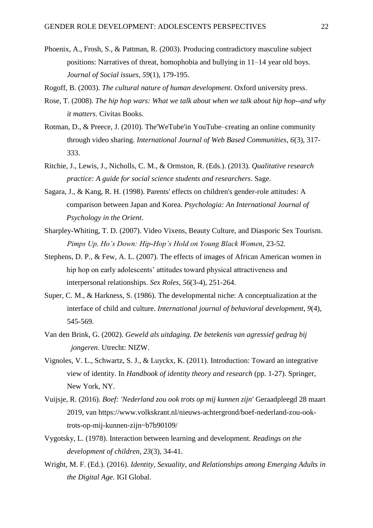Phoenix, A., Frosh, S., & Pattman, R. (2003). Producing contradictory masculine subject positions: Narratives of threat, homophobia and bullying in 11–14 year old boys. *Journal of Social issues*, *59*(1), 179-195.

Rogoff, B. (2003). *The cultural nature of human development*. Oxford university press.

- Rose, T. (2008). *The hip hop wars: What we talk about when we talk about hip hop--and why it matters*. Civitas Books.
- Rotman, D., & Preece, J. (2010). The'WeTube'in YouTube–creating an online community through video sharing. *International Journal of Web Based Communities*, *6*(3), 317- 333.
- Ritchie, J., Lewis, J., Nicholls, C. M., & Ormston, R. (Eds.). (2013). *Qualitative research practice: A guide for social science students and researchers*. Sage.
- Sagara, J., & Kang, R. H. (1998). Parents' effects on children's gender-role attitudes: A comparison between Japan and Korea. *Psychologia: An International Journal of Psychology in the Orient*.
- Sharpley-Whiting, T. D. (2007). Video Vixens, Beauty Culture, and Diasporic Sex Tourism. *Pimps Up, Ho's Down: Hip-Hop's Hold on Young Black Women*, 23-52.
- Stephens, D. P., & Few, A. L. (2007). The effects of images of African American women in hip hop on early adolescents' attitudes toward physical attractiveness and interpersonal relationships. *Sex Roles*, *56*(3-4), 251-264.
- Super, C. M., & Harkness, S. (1986). The developmental niche: A conceptualization at the interface of child and culture. *International journal of behavioral development*, *9*(4), 545-569.
- Van den Brink, G. (2002). *Geweld als uitdaging. De betekenis van agressief gedrag bij jongeren*. Utrecht: NIZW.
- Vignoles, V. L., Schwartz, S. J., & Luyckx, K. (2011). Introduction: Toward an integrative view of identity. In *Handbook of identity theory and research* (pp. 1-27). Springer, New York, NY.
- Vuijsje, R. (2016). *Boef: 'Nederland zou ook trots op mij kunnen zijn'* Geraadpleegd 28 maart 2019, van https://www.volkskrant.nl/nieuws-achtergrond/boef-nederland-zou-ooktrots-op-mij-kunnen-zijn~b7b90109/
- Vygotsky, L. (1978). Interaction between learning and development. *Readings on the development of children*, *23*(3), 34-41.
- Wright, M. F. (Ed.). (2016). *Identity, Sexuality, and Relationships among Emerging Adults in the Digital Age*. IGI Global.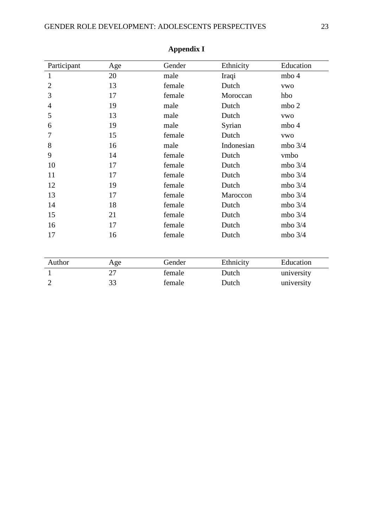| Participant    | Age | Gender | Ethnicity  | Education  |
|----------------|-----|--------|------------|------------|
| $\mathbf{1}$   | 20  | male   | Iraqi      | mbo 4      |
| $\overline{2}$ | 13  | female | Dutch      | <b>VWO</b> |
| 3              | 17  | female | Moroccan   | hbo        |
| $\overline{4}$ | 19  | male   | Dutch      | mbo 2      |
| 5              | 13  | male   | Dutch      | <b>VWO</b> |
| 6              | 19  | male   | Syrian     | mbo 4      |
| 7              | 15  | female | Dutch      | <b>VWO</b> |
| 8              | 16  | male   | Indonesian | mbo $3/4$  |
| 9              | 14  | female | Dutch      | vmbo       |
| 10             | 17  | female | Dutch      | mbo $3/4$  |
| 11             | 17  | female | Dutch      | mbo $3/4$  |
| 12             | 19  | female | Dutch      | mbo $3/4$  |
| 13             | 17  | female | Maroccon   | mbo $3/4$  |
| 14             | 18  | female | Dutch      | mbo $3/4$  |
| 15             | 21  | female | Dutch      | mbo $3/4$  |
| 16             | 17  | female | Dutch      | mbo 3/4    |
| 17             | 16  | female | Dutch      | mbo $3/4$  |
|                |     |        |            |            |
| Author         | Age | Gender | Ethnicity  | Education  |
| $\mathbf{1}$   | 27  | female | Dutch      | university |
| $\overline{2}$ | 33  | female | Dutch      | university |

# **Appendix I**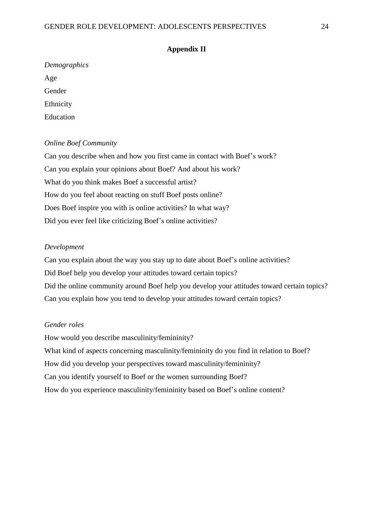#### **Appendix II**

| Demographics |
|--------------|
| Age          |
| Gender       |
| Ethnicity    |
| Education    |

## *Online Boef Community*

Can you describe when and how you first came in contact with Boef's work? Can you explain your opinions about Boef? And about his work? What do you think makes Boef a successful artist? How do you feel about reacting on stuff Boef posts online? Does Boef inspire you with is online activities? In what way? Did you ever feel like criticizing Boef's online activities?

# *Development*

Can you explain about the way you stay up to date about Boef's online activities? Did Boef help you develop your attitudes toward certain topics? Did the online community around Boef help you develop your attitudes toward certain topics? Can you explain how you tend to develop your attitudes toward certain topics?

# *Gender roles*

How would you describe masculinity/femininity? What kind of aspects concerning masculinity/femininity do you find in relation to Boef? How did you develop your perspectives toward masculinity/femininity? Can you identify yourself to Boef or the women surrounding Boef? How do you experience masculinity/femininity based on Boef's online content?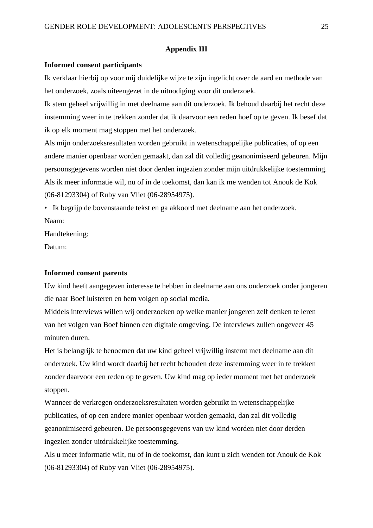#### **Appendix III**

#### **Informed consent participants**

Ik verklaar hierbij op voor mij duidelijke wijze te zijn ingelicht over de aard en methode van het onderzoek, zoals uiteengezet in de uitnodiging voor dit onderzoek.

Ik stem geheel vrijwillig in met deelname aan dit onderzoek. Ik behoud daarbij het recht deze instemming weer in te trekken zonder dat ik daarvoor een reden hoef op te geven. Ik besef dat ik op elk moment mag stoppen met het onderzoek.

Als mijn onderzoeksresultaten worden gebruikt in wetenschappelijke publicaties, of op een andere manier openbaar worden gemaakt, dan zal dit volledig geanonimiseerd gebeuren. Mijn persoonsgegevens worden niet door derden ingezien zonder mijn uitdrukkelijke toestemming. Als ik meer informatie wil, nu of in de toekomst, dan kan ik me wenden tot Anouk de Kok (06-81293304) of Ruby van Vliet (06-28954975).

• Ik begrijp de bovenstaande tekst en ga akkoord met deelname aan het onderzoek. Naam:

Handtekening:

Datum:

#### **Informed consent parents**

Uw kind heeft aangegeven interesse te hebben in deelname aan ons onderzoek onder jongeren die naar Boef luisteren en hem volgen op social media.

Middels interviews willen wij onderzoeken op welke manier jongeren zelf denken te leren van het volgen van Boef binnen een digitale omgeving. De interviews zullen ongeveer 45 minuten duren.

Het is belangrijk te benoemen dat uw kind geheel vrijwillig instemt met deelname aan dit onderzoek. Uw kind wordt daarbij het recht behouden deze instemming weer in te trekken zonder daarvoor een reden op te geven. Uw kind mag op ieder moment met het onderzoek stoppen.

Wanneer de verkregen onderzoeksresultaten worden gebruikt in wetenschappelijke publicaties, of op een andere manier openbaar worden gemaakt, dan zal dit volledig geanonimiseerd gebeuren. De persoonsgegevens van uw kind worden niet door derden ingezien zonder uitdrukkelijke toestemming.

Als u meer informatie wilt, nu of in de toekomst, dan kunt u zich wenden tot Anouk de Kok (06-81293304) of Ruby van Vliet (06-28954975).